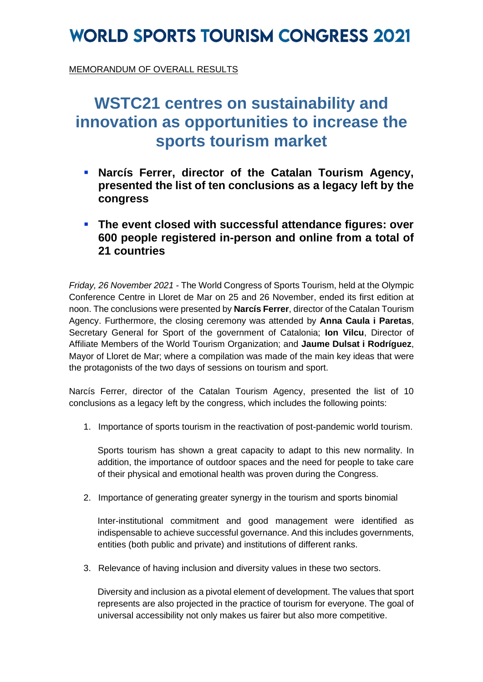## **WORLD SPORTS TOURISM CONGRESS 2021**

MEMORANDUM OF OVERALL RESULTS

#### **WSTC21 centres on sustainability and innovation as opportunities to increase the sports tourism market**

- **Narcís Ferrer, director of the Catalan Tourism Agency, presented the list of ten conclusions as a legacy left by the congress**
- **The event closed with successful attendance figures: over 600 people registered in-person and online from a total of 21 countries**

*Friday, 26 November 2021 -* The World Congress of Sports Tourism, held at the Olympic Conference Centre in Lloret de Mar on 25 and 26 November, ended its first edition at noon. The conclusions were presented by **Narcís Ferrer**, director of the Catalan Tourism Agency. Furthermore, the closing ceremony was attended by **Anna Caula i Paretas**, Secretary General for Sport of the government of Catalonia; **Ion Vilcu**, Director of Affiliate Members of the World Tourism Organization; and **Jaume Dulsat i Rodríguez**, Mayor of Lloret de Mar; where a compilation was made of the main key ideas that were the protagonists of the two days of sessions on tourism and sport.

Narcís Ferrer, director of the Catalan Tourism Agency, presented the list of 10 conclusions as a legacy left by the congress, which includes the following points:

1. Importance of sports tourism in the reactivation of post-pandemic world tourism.

Sports tourism has shown a great capacity to adapt to this new normality. In addition, the importance of outdoor spaces and the need for people to take care of their physical and emotional health was proven during the Congress.

2. Importance of generating greater synergy in the tourism and sports binomial

Inter-institutional commitment and good management were identified as indispensable to achieve successful governance. And this includes governments, entities (both public and private) and institutions of different ranks.

3. Relevance of having inclusion and diversity values in these two sectors.

Diversity and inclusion as a pivotal element of development. The values that sport represents are also projected in the practice of tourism for everyone. The goal of universal accessibility not only makes us fairer but also more competitive.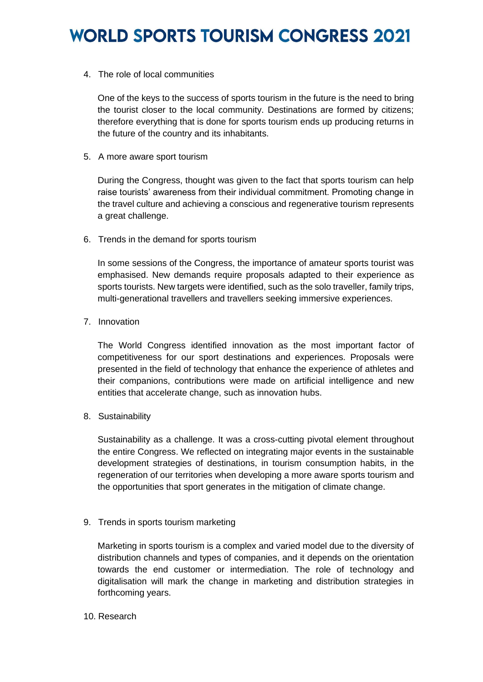# **WORLD SPORTS TOURISM CONGRESS 2021**

4. The role of local communities

One of the keys to the success of sports tourism in the future is the need to bring the tourist closer to the local community. Destinations are formed by citizens; therefore everything that is done for sports tourism ends up producing returns in the future of the country and its inhabitants.

5. A more aware sport tourism

During the Congress, thought was given to the fact that sports tourism can help raise tourists' awareness from their individual commitment. Promoting change in the travel culture and achieving a conscious and regenerative tourism represents a great challenge.

6. Trends in the demand for sports tourism

In some sessions of the Congress, the importance of amateur sports tourist was emphasised. New demands require proposals adapted to their experience as sports tourists. New targets were identified, such as the solo traveller, family trips, multi-generational travellers and travellers seeking immersive experiences.

7. Innovation

The World Congress identified innovation as the most important factor of competitiveness for our sport destinations and experiences. Proposals were presented in the field of technology that enhance the experience of athletes and their companions, contributions were made on artificial intelligence and new entities that accelerate change, such as innovation hubs.

8. Sustainability

Sustainability as a challenge. It was a cross-cutting pivotal element throughout the entire Congress. We reflected on integrating major events in the sustainable development strategies of destinations, in tourism consumption habits, in the regeneration of our territories when developing a more aware sports tourism and the opportunities that sport generates in the mitigation of climate change.

9. Trends in sports tourism marketing

Marketing in sports tourism is a complex and varied model due to the diversity of distribution channels and types of companies, and it depends on the orientation towards the end customer or intermediation. The role of technology and digitalisation will mark the change in marketing and distribution strategies in forthcoming years.

10. Research